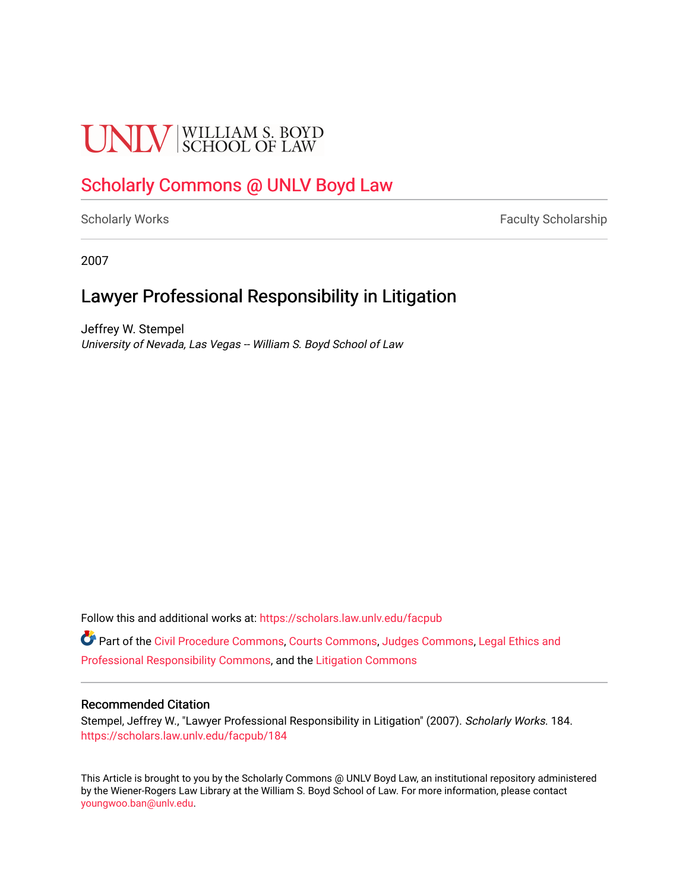# **UNIV** SCHOOL OF LAW

# [Scholarly Commons @ UNLV Boyd Law](https://scholars.law.unlv.edu/)

[Scholarly Works](https://scholars.law.unlv.edu/facpub) **Faculty Scholarship** Faculty Scholarship

2007

# Lawyer Professional Responsibility in Litigation

Jeffrey W. Stempel University of Nevada, Las Vegas -- William S. Boyd School of Law

Follow this and additional works at: [https://scholars.law.unlv.edu/facpub](https://scholars.law.unlv.edu/facpub?utm_source=scholars.law.unlv.edu%2Ffacpub%2F184&utm_medium=PDF&utm_campaign=PDFCoverPages)

Part of the [Civil Procedure Commons,](http://network.bepress.com/hgg/discipline/584?utm_source=scholars.law.unlv.edu%2Ffacpub%2F184&utm_medium=PDF&utm_campaign=PDFCoverPages) [Courts Commons](http://network.bepress.com/hgg/discipline/839?utm_source=scholars.law.unlv.edu%2Ffacpub%2F184&utm_medium=PDF&utm_campaign=PDFCoverPages), [Judges Commons](http://network.bepress.com/hgg/discipline/849?utm_source=scholars.law.unlv.edu%2Ffacpub%2F184&utm_medium=PDF&utm_campaign=PDFCoverPages), [Legal Ethics and](http://network.bepress.com/hgg/discipline/895?utm_source=scholars.law.unlv.edu%2Ffacpub%2F184&utm_medium=PDF&utm_campaign=PDFCoverPages)  [Professional Responsibility Commons,](http://network.bepress.com/hgg/discipline/895?utm_source=scholars.law.unlv.edu%2Ffacpub%2F184&utm_medium=PDF&utm_campaign=PDFCoverPages) and the [Litigation Commons](http://network.bepress.com/hgg/discipline/910?utm_source=scholars.law.unlv.edu%2Ffacpub%2F184&utm_medium=PDF&utm_campaign=PDFCoverPages) 

#### Recommended Citation

Stempel, Jeffrey W., "Lawyer Professional Responsibility in Litigation" (2007). Scholarly Works. 184. [https://scholars.law.unlv.edu/facpub/184](https://scholars.law.unlv.edu/facpub/184?utm_source=scholars.law.unlv.edu%2Ffacpub%2F184&utm_medium=PDF&utm_campaign=PDFCoverPages)

This Article is brought to you by the Scholarly Commons @ UNLV Boyd Law, an institutional repository administered by the Wiener-Rogers Law Library at the William S. Boyd School of Law. For more information, please contact [youngwoo.ban@unlv.edu.](mailto:youngwoo.ban@unlv.edu)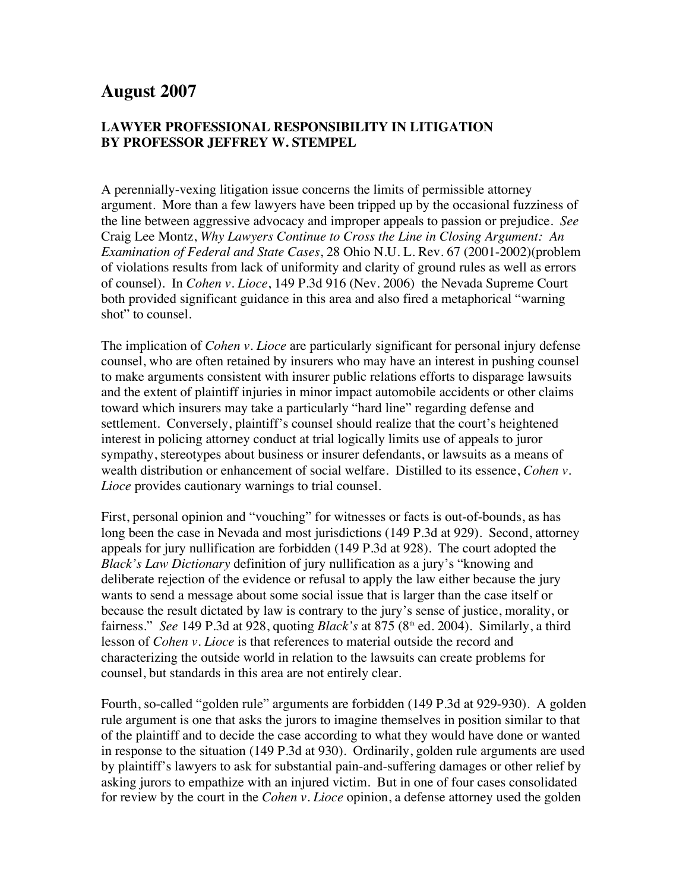# **August 2007**

# **LAWYER PROFESSIONAL RESPONSIBILITY IN LITIGATION BY PROFESSOR JEFFREY W. STEMPEL**

A perennially-vexing litigation issue concerns the limits of permissible attorney argument. More than a few lawyers have been tripped up by the occasional fuzziness of the line between aggressive advocacy and improper appeals to passion or prejudice. *See* Craig Lee Montz, *Why Lawyers Continue to Cross the Line in Closing Argument: An Examination of Federal and State Cases*, 28 Ohio N.U. L. Rev. 67 (2001-2002)(problem of violations results from lack of uniformity and clarity of ground rules as well as errors of counsel). In *Cohen v. Lioce*, 149 P.3d 916 (Nev. 2006) the Nevada Supreme Court both provided significant guidance in this area and also fired a metaphorical "warning shot" to counsel.

The implication of *Cohen v. Lioce* are particularly significant for personal injury defense counsel, who are often retained by insurers who may have an interest in pushing counsel to make arguments consistent with insurer public relations efforts to disparage lawsuits and the extent of plaintiff injuries in minor impact automobile accidents or other claims toward which insurers may take a particularly "hard line" regarding defense and settlement. Conversely, plaintiff's counsel should realize that the court's heightened interest in policing attorney conduct at trial logically limits use of appeals to juror sympathy, stereotypes about business or insurer defendants, or lawsuits as a means of wealth distribution or enhancement of social welfare. Distilled to its essence, *Cohen v. Lioce* provides cautionary warnings to trial counsel.

First, personal opinion and "vouching" for witnesses or facts is out-of-bounds, as has long been the case in Nevada and most jurisdictions (149 P.3d at 929). Second, attorney appeals for jury nullification are forbidden (149 P.3d at 928). The court adopted the *Black's Law Dictionary* definition of jury nullification as a jury's "knowing and deliberate rejection of the evidence or refusal to apply the law either because the jury wants to send a message about some social issue that is larger than the case itself or because the result dictated by law is contrary to the jury's sense of justice, morality, or fairness." *See* 149 P.3d at 928, quoting *Black's* at 875 ( $8<sup>th</sup>$  ed. 2004). Similarly, a third lesson of *Cohen v. Lioce* is that references to material outside the record and characterizing the outside world in relation to the lawsuits can create problems for counsel, but standards in this area are not entirely clear.

Fourth, so-called "golden rule" arguments are forbidden (149 P.3d at 929-930). A golden rule argument is one that asks the jurors to imagine themselves in position similar to that of the plaintiff and to decide the case according to what they would have done or wanted in response to the situation (149 P.3d at 930). Ordinarily, golden rule arguments are used by plaintiff's lawyers to ask for substantial pain-and-suffering damages or other relief by asking jurors to empathize with an injured victim. But in one of four cases consolidated for review by the court in the *Cohen v. Lioce* opinion, a defense attorney used the golden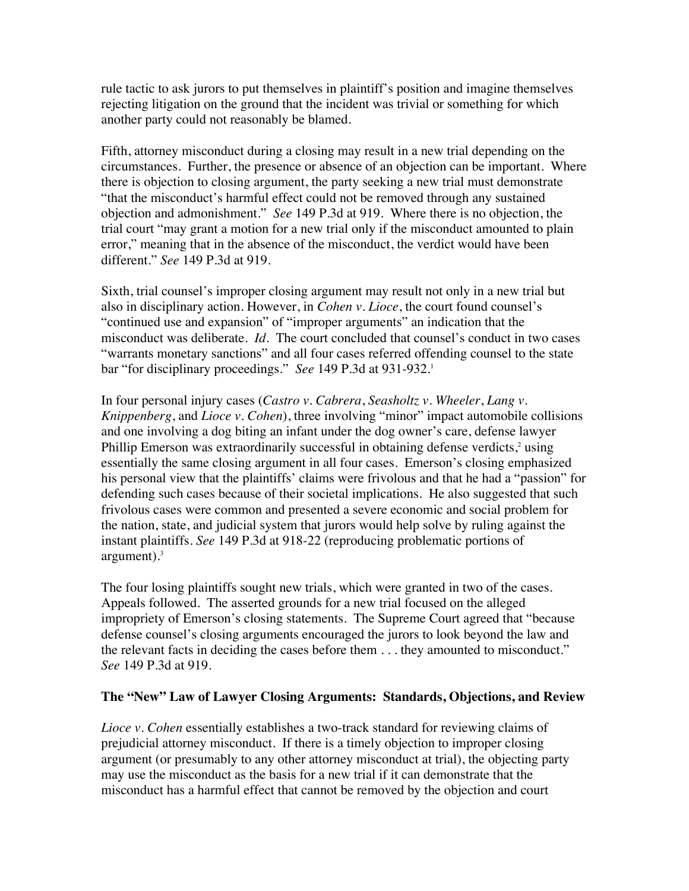rule tactic to ask jurors to put themselves in plaintiff's position and imagine themselves rejecting litigation on the ground that the incident was trivial or something for which another party could not reasonably be blamed.

Fifth, attorney misconduct during a closing may result in a new trial depending on the circumstances. Further, the presence or absence of an objection can be important. Where there is objection to closing argument, the party seeking a new trial must demonstrate "that the misconduct's harmful effect could not be removed through any sustained objection and admonishment." *See* 149 P.3d at 919. Where there is no objection, the trial court "may grant a motion for a new trial only if the misconduct amounted to plain error," meaning that in the absence of the misconduct, the verdict would have been different." *See* 149 P.3d at 919.

Sixth, trial counsel's improper closing argument may result not only in a new trial but also in disciplinary action. However, in *Cohen v. Lioce*, the court found counsel's "continued use and expansion" of "improper arguments" an indication that the misconduct was deliberate. *Id.* The court concluded that counsel's conduct in two cases "warrants monetary sanctions" and all four cases referred offending counsel to the state bar "for disciplinary proceedings." *See* 149 P.3d at 931-932.1

In four personal injury cases (*Castro v. Cabrera*, *Seasholtz v. Wheeler*, *Lang v. Knippenberg*, and *Lioce v. Cohen*), three involving "minor" impact automobile collisions and one involving a dog biting an infant under the dog owner's care, defense lawyer Phillip Emerson was extraordinarily successful in obtaining defense verdicts,<sup>2</sup> using essentially the same closing argument in all four cases. Emerson's closing emphasized his personal view that the plaintiffs' claims were frivolous and that he had a "passion" for defending such cases because of their societal implications. He also suggested that such frivolous cases were common and presented a severe economic and social problem for the nation, state, and judicial system that jurors would help solve by ruling against the instant plaintiffs. *See* 149 P.3d at 918-22 (reproducing problematic portions of argument). $3$ 

The four losing plaintiffs sought new trials, which were granted in two of the cases. Appeals followed. The asserted grounds for a new trial focused on the alleged impropriety of Emerson's closing statements. The Supreme Court agreed that "because defense counsel's closing arguments encouraged the jurors to look beyond the law and the relevant facts in deciding the cases before them . . . they amounted to misconduct." *See* 149 P.3d at 919.

# **The "New" Law of Lawyer Closing Arguments: Standards, Objections, and Review**

*Lioce v. Cohen* essentially establishes a two-track standard for reviewing claims of prejudicial attorney misconduct. If there is a timely objection to improper closing argument (or presumably to any other attorney misconduct at trial), the objecting party may use the misconduct as the basis for a new trial if it can demonstrate that the misconduct has a harmful effect that cannot be removed by the objection and court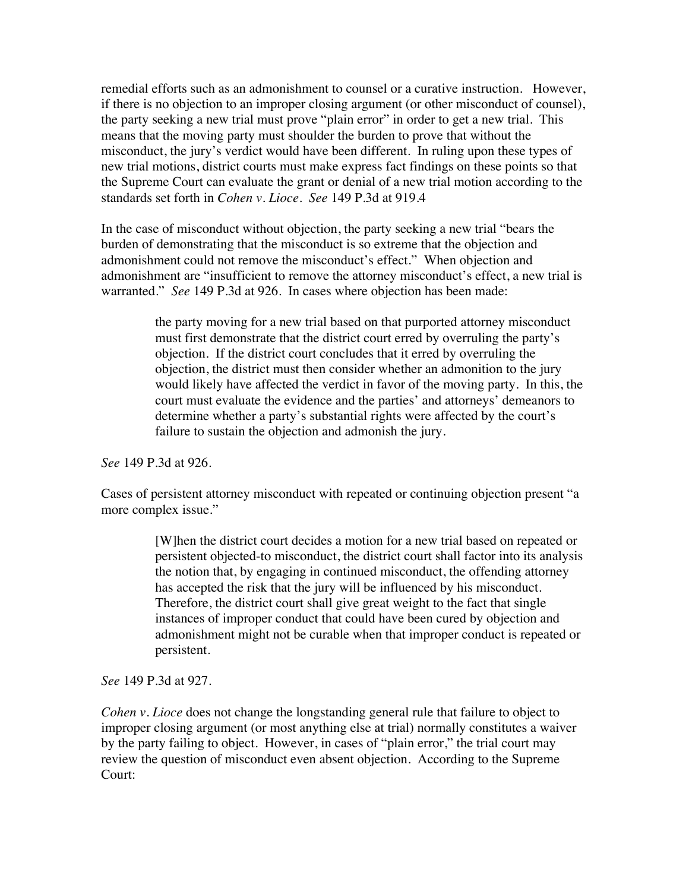remedial efforts such as an admonishment to counsel or a curative instruction. However, if there is no objection to an improper closing argument (or other misconduct of counsel), the party seeking a new trial must prove "plain error" in order to get a new trial. This means that the moving party must shoulder the burden to prove that without the misconduct, the jury's verdict would have been different. In ruling upon these types of new trial motions, district courts must make express fact findings on these points so that the Supreme Court can evaluate the grant or denial of a new trial motion according to the standards set forth in *Cohen v. Lioce*. *See* 149 P.3d at 919.4

In the case of misconduct without objection, the party seeking a new trial "bears the burden of demonstrating that the misconduct is so extreme that the objection and admonishment could not remove the misconduct's effect." When objection and admonishment are "insufficient to remove the attorney misconduct's effect, a new trial is warranted." *See* 149 P.3d at 926. In cases where objection has been made:

> the party moving for a new trial based on that purported attorney misconduct must first demonstrate that the district court erred by overruling the party's objection. If the district court concludes that it erred by overruling the objection, the district must then consider whether an admonition to the jury would likely have affected the verdict in favor of the moving party. In this, the court must evaluate the evidence and the parties' and attorneys' demeanors to determine whether a party's substantial rights were affected by the court's failure to sustain the objection and admonish the jury.

*See* 149 P.3d at 926.

Cases of persistent attorney misconduct with repeated or continuing objection present "a more complex issue."

> [W]hen the district court decides a motion for a new trial based on repeated or persistent objected-to misconduct, the district court shall factor into its analysis the notion that, by engaging in continued misconduct, the offending attorney has accepted the risk that the jury will be influenced by his misconduct. Therefore, the district court shall give great weight to the fact that single instances of improper conduct that could have been cured by objection and admonishment might not be curable when that improper conduct is repeated or persistent.

*See* 149 P.3d at 927.

*Cohen v. Lioce* does not change the longstanding general rule that failure to object to improper closing argument (or most anything else at trial) normally constitutes a waiver by the party failing to object. However, in cases of "plain error," the trial court may review the question of misconduct even absent objection. According to the Supreme Court: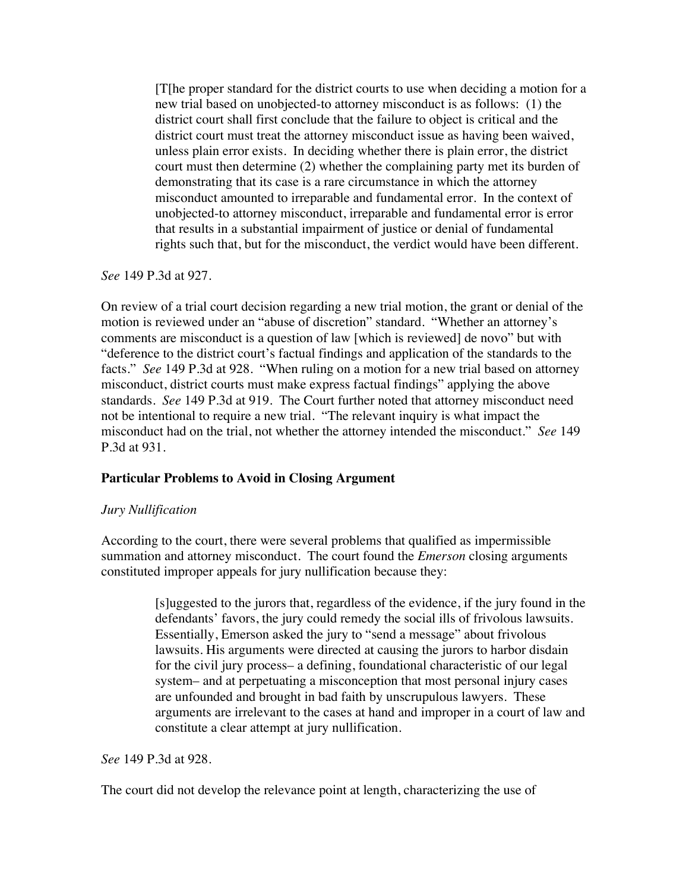[T[he proper standard for the district courts to use when deciding a motion for a new trial based on unobjected-to attorney misconduct is as follows: (1) the district court shall first conclude that the failure to object is critical and the district court must treat the attorney misconduct issue as having been waived, unless plain error exists. In deciding whether there is plain error, the district court must then determine (2) whether the complaining party met its burden of demonstrating that its case is a rare circumstance in which the attorney misconduct amounted to irreparable and fundamental error. In the context of unobjected-to attorney misconduct, irreparable and fundamental error is error that results in a substantial impairment of justice or denial of fundamental rights such that, but for the misconduct, the verdict would have been different.

*See* 149 P.3d at 927.

On review of a trial court decision regarding a new trial motion, the grant or denial of the motion is reviewed under an "abuse of discretion" standard. "Whether an attorney's comments are misconduct is a question of law [which is reviewed] de novo" but with "deference to the district court's factual findings and application of the standards to the facts." *See* 149 P.3d at 928. "When ruling on a motion for a new trial based on attorney misconduct, district courts must make express factual findings" applying the above standards. *See* 149 P.3d at 919. The Court further noted that attorney misconduct need not be intentional to require a new trial. "The relevant inquiry is what impact the misconduct had on the trial, not whether the attorney intended the misconduct." *See* 149 P.3d at 931.

## **Particular Problems to Avoid in Closing Argument**

## *Jury Nullification*

According to the court, there were several problems that qualified as impermissible summation and attorney misconduct. The court found the *Emerson* closing arguments constituted improper appeals for jury nullification because they:

> [s]uggested to the jurors that, regardless of the evidence, if the jury found in the defendants' favors, the jury could remedy the social ills of frivolous lawsuits. Essentially, Emerson asked the jury to "send a message" about frivolous lawsuits. His arguments were directed at causing the jurors to harbor disdain for the civil jury process– a defining, foundational characteristic of our legal system– and at perpetuating a misconception that most personal injury cases are unfounded and brought in bad faith by unscrupulous lawyers. These arguments are irrelevant to the cases at hand and improper in a court of law and constitute a clear attempt at jury nullification.

#### *See* 149 P.3d at 928.

The court did not develop the relevance point at length, characterizing the use of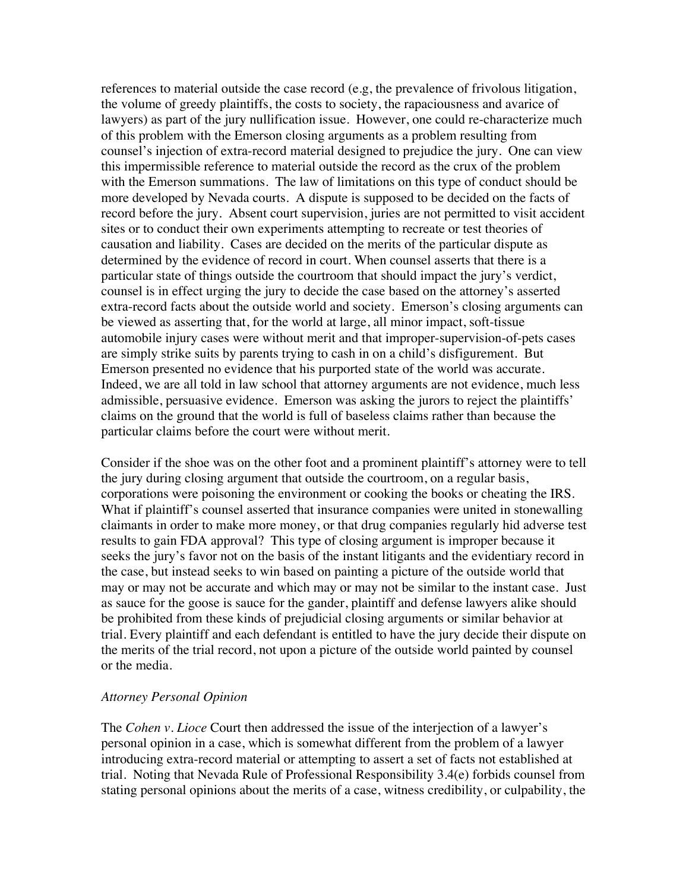references to material outside the case record (e.g, the prevalence of frivolous litigation, the volume of greedy plaintiffs, the costs to society, the rapaciousness and avarice of lawyers) as part of the jury nullification issue. However, one could re-characterize much of this problem with the Emerson closing arguments as a problem resulting from counsel's injection of extra-record material designed to prejudice the jury. One can view this impermissible reference to material outside the record as the crux of the problem with the Emerson summations. The law of limitations on this type of conduct should be more developed by Nevada courts. A dispute is supposed to be decided on the facts of record before the jury. Absent court supervision, juries are not permitted to visit accident sites or to conduct their own experiments attempting to recreate or test theories of causation and liability. Cases are decided on the merits of the particular dispute as determined by the evidence of record in court. When counsel asserts that there is a particular state of things outside the courtroom that should impact the jury's verdict, counsel is in effect urging the jury to decide the case based on the attorney's asserted extra-record facts about the outside world and society. Emerson's closing arguments can be viewed as asserting that, for the world at large, all minor impact, soft-tissue automobile injury cases were without merit and that improper-supervision-of-pets cases are simply strike suits by parents trying to cash in on a child's disfigurement. But Emerson presented no evidence that his purported state of the world was accurate. Indeed, we are all told in law school that attorney arguments are not evidence, much less admissible, persuasive evidence. Emerson was asking the jurors to reject the plaintiffs' claims on the ground that the world is full of baseless claims rather than because the particular claims before the court were without merit.

Consider if the shoe was on the other foot and a prominent plaintiff's attorney were to tell the jury during closing argument that outside the courtroom, on a regular basis, corporations were poisoning the environment or cooking the books or cheating the IRS. What if plaintiff's counsel asserted that insurance companies were united in stonewalling claimants in order to make more money, or that drug companies regularly hid adverse test results to gain FDA approval? This type of closing argument is improper because it seeks the jury's favor not on the basis of the instant litigants and the evidentiary record in the case, but instead seeks to win based on painting a picture of the outside world that may or may not be accurate and which may or may not be similar to the instant case. Just as sauce for the goose is sauce for the gander, plaintiff and defense lawyers alike should be prohibited from these kinds of prejudicial closing arguments or similar behavior at trial. Every plaintiff and each defendant is entitled to have the jury decide their dispute on the merits of the trial record, not upon a picture of the outside world painted by counsel or the media.

## *Attorney Personal Opinion*

The *Cohen v. Lioce* Court then addressed the issue of the interjection of a lawyer's personal opinion in a case, which is somewhat different from the problem of a lawyer introducing extra-record material or attempting to assert a set of facts not established at trial. Noting that Nevada Rule of Professional Responsibility 3.4(e) forbids counsel from stating personal opinions about the merits of a case, witness credibility, or culpability, the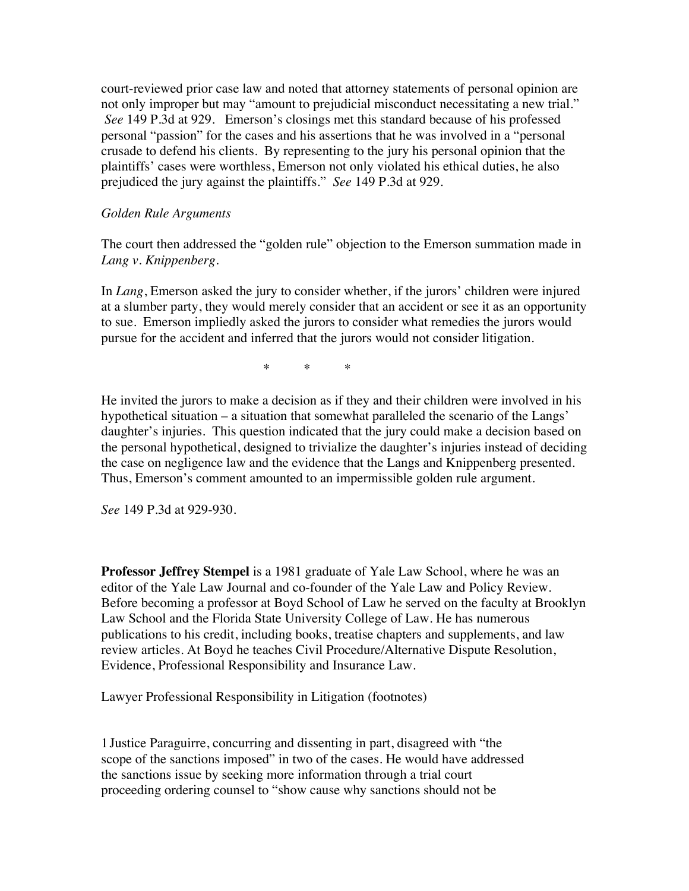court-reviewed prior case law and noted that attorney statements of personal opinion are not only improper but may "amount to prejudicial misconduct necessitating a new trial." *See* 149 P.3d at 929. Emerson's closings met this standard because of his professed personal "passion" for the cases and his assertions that he was involved in a "personal crusade to defend his clients. By representing to the jury his personal opinion that the plaintiffs' cases were worthless, Emerson not only violated his ethical duties, he also prejudiced the jury against the plaintiffs." *See* 149 P.3d at 929.

### *Golden Rule Arguments*

The court then addressed the "golden rule" objection to the Emerson summation made in *Lang v. Knippenberg*.

In *Lang*, Emerson asked the jury to consider whether, if the jurors' children were injured at a slumber party, they would merely consider that an accident or see it as an opportunity to sue. Emerson impliedly asked the jurors to consider what remedies the jurors would pursue for the accident and inferred that the jurors would not consider litigation.

 $\begin{array}{ccc} \ast & \ast & \ast \end{array}$ 

He invited the jurors to make a decision as if they and their children were involved in his hypothetical situation – a situation that somewhat paralleled the scenario of the Langs' daughter's injuries. This question indicated that the jury could make a decision based on the personal hypothetical, designed to trivialize the daughter's injuries instead of deciding the case on negligence law and the evidence that the Langs and Knippenberg presented. Thus, Emerson's comment amounted to an impermissible golden rule argument.

*See* 149 P.3d at 929-930.

**Professor Jeffrey Stempel** is a 1981 graduate of Yale Law School, where he was an editor of the Yale Law Journal and co-founder of the Yale Law and Policy Review. Before becoming a professor at Boyd School of Law he served on the faculty at Brooklyn Law School and the Florida State University College of Law. He has numerous publications to his credit, including books, treatise chapters and supplements, and law review articles. At Boyd he teaches Civil Procedure/Alternative Dispute Resolution, Evidence, Professional Responsibility and Insurance Law.

Lawyer Professional Responsibility in Litigation (footnotes)

1Justice Paraguirre, concurring and dissenting in part, disagreed with "the scope of the sanctions imposed" in two of the cases. He would have addressed the sanctions issue by seeking more information through a trial court proceeding ordering counsel to "show cause why sanctions should not be